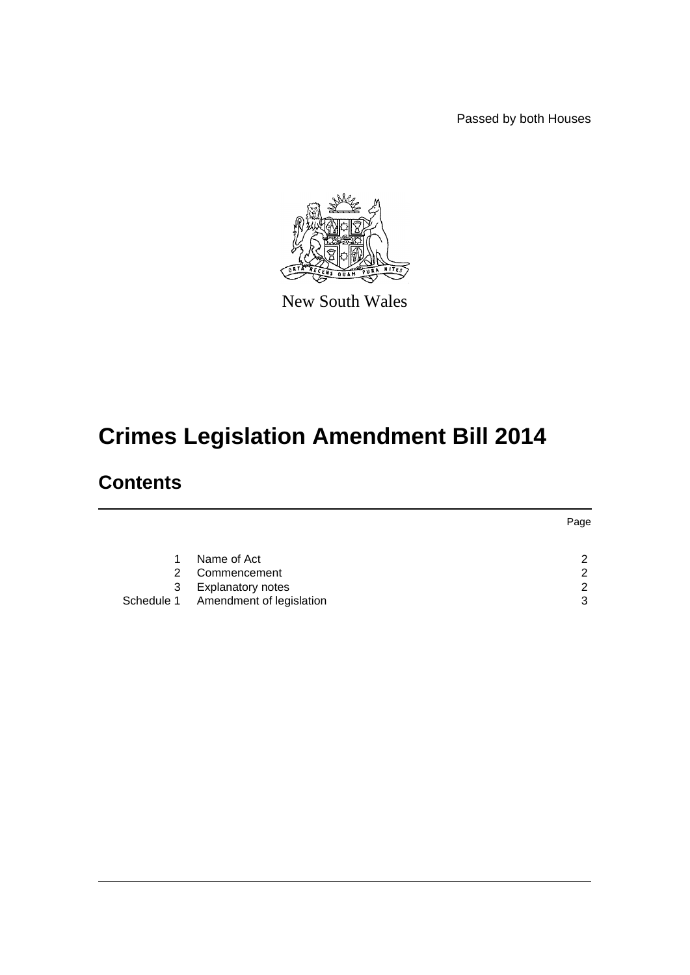Passed by both Houses



New South Wales

# **Crimes Legislation Amendment Bill 2014**

## **Contents**

|   |                                     | Page |
|---|-------------------------------------|------|
|   |                                     |      |
|   | Name of Act                         | ◠    |
| 2 | Commencement                        | ົ    |
| 3 | <b>Explanatory notes</b>            | ◠    |
|   | Schedule 1 Amendment of legislation | າ    |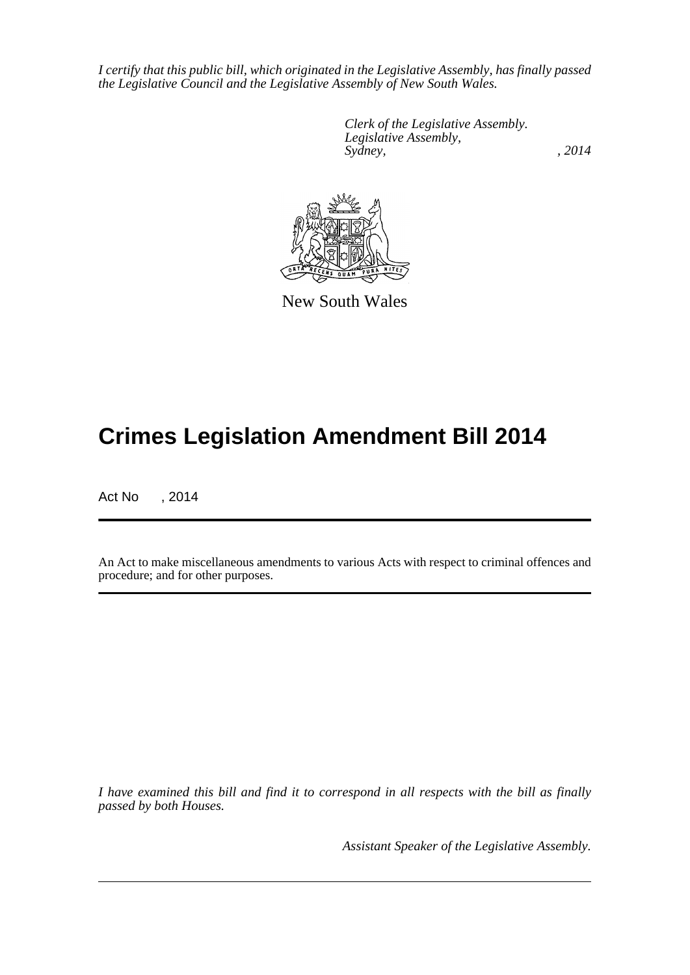*I certify that this public bill, which originated in the Legislative Assembly, has finally passed the Legislative Council and the Legislative Assembly of New South Wales.*

> *Clerk of the Legislative Assembly. Legislative Assembly, Sydney,* , 2014



New South Wales

# **Crimes Legislation Amendment Bill 2014**

Act No , 2014

An Act to make miscellaneous amendments to various Acts with respect to criminal offences and procedure; and for other purposes.

*I have examined this bill and find it to correspond in all respects with the bill as finally passed by both Houses.*

*Assistant Speaker of the Legislative Assembly.*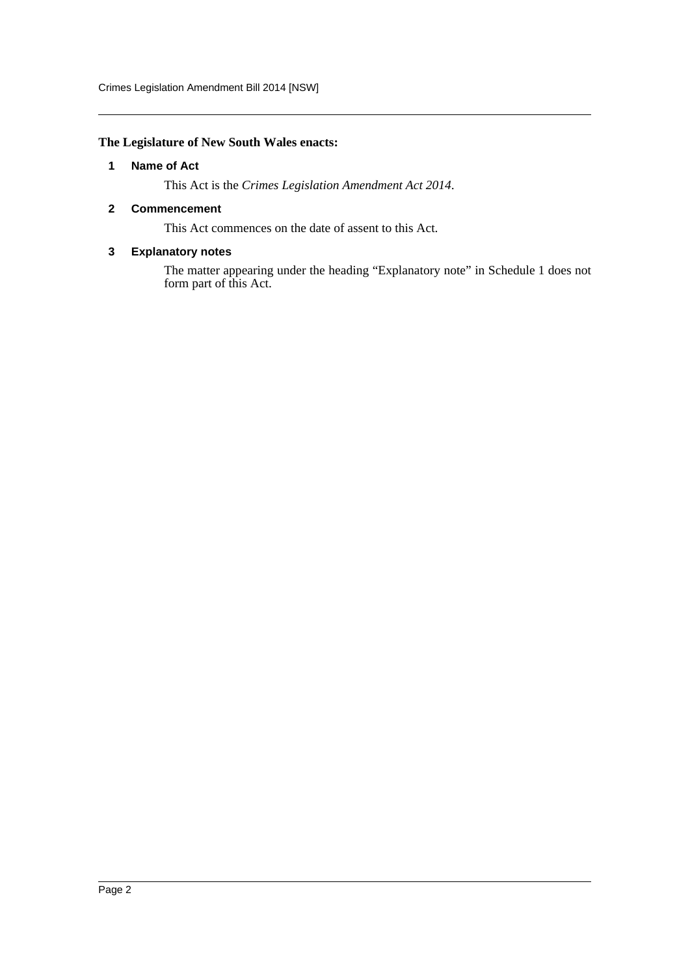Crimes Legislation Amendment Bill 2014 [NSW]

## <span id="page-2-0"></span>**The Legislature of New South Wales enacts:**

## **1 Name of Act**

This Act is the *Crimes Legislation Amendment Act 2014*.

## <span id="page-2-1"></span>**2 Commencement**

This Act commences on the date of assent to this Act.

## <span id="page-2-2"></span>**3 Explanatory notes**

The matter appearing under the heading "Explanatory note" in Schedule 1 does not form part of this Act.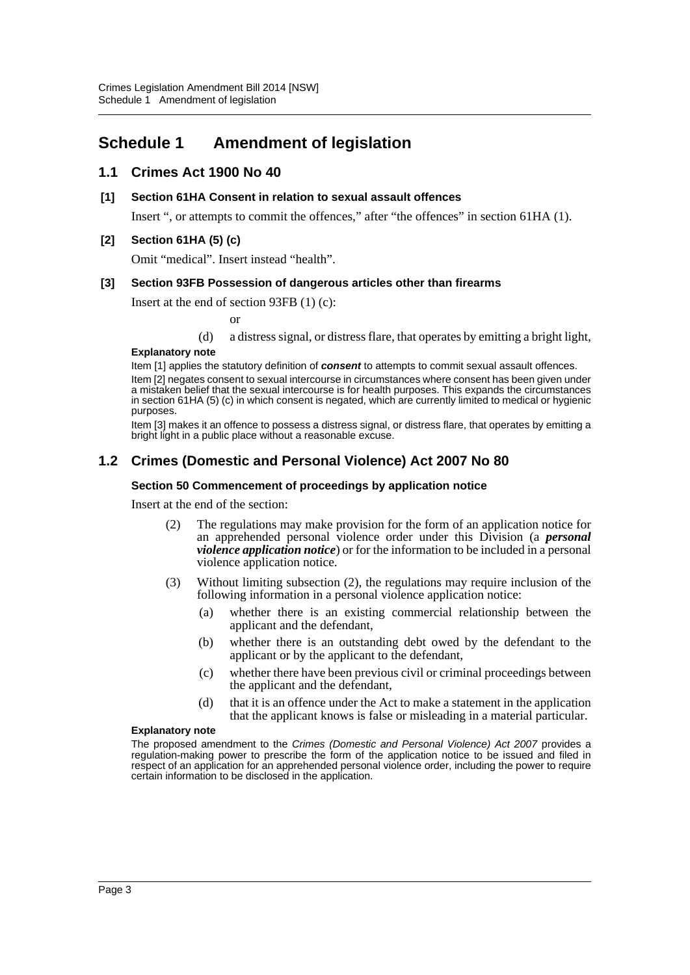## <span id="page-3-0"></span>**Schedule 1 Amendment of legislation**

## **1.1 Crimes Act 1900 No 40**

## **[1] Section 61HA Consent in relation to sexual assault offences**

Insert ", or attempts to commit the offences," after "the offences" in section 61HA (1).

## **[2] Section 61HA (5) (c)**

Omit "medical". Insert instead "health".

## **[3] Section 93FB Possession of dangerous articles other than firearms**

Insert at the end of section 93FB (1) (c):

or

(d) a distress signal, or distress flare, that operates by emitting a bright light,

## **Explanatory note**

Item [1] applies the statutory definition of *consent* to attempts to commit sexual assault offences.

Item [2] negates consent to sexual intercourse in circumstances where consent has been given under a mistaken belief that the sexual intercourse is for health purposes. This expands the circumstances in section 61HA (5) (c) in which consent is negated, which are currently limited to medical or hygienic purposes.

Item [3] makes it an offence to possess a distress signal, or distress flare, that operates by emitting a bright light in a public place without a reasonable excuse.

## **1.2 Crimes (Domestic and Personal Violence) Act 2007 No 80**

## **Section 50 Commencement of proceedings by application notice**

Insert at the end of the section:

- (2) The regulations may make provision for the form of an application notice for an apprehended personal violence order under this Division (a *personal violence application notice*) or for the information to be included in a personal violence application notice.
- (3) Without limiting subsection (2), the regulations may require inclusion of the following information in a personal violence application notice:
	- (a) whether there is an existing commercial relationship between the applicant and the defendant,
	- (b) whether there is an outstanding debt owed by the defendant to the applicant or by the applicant to the defendant,
	- (c) whether there have been previous civil or criminal proceedings between the applicant and the defendant,
	- (d) that it is an offence under the Act to make a statement in the application that the applicant knows is false or misleading in a material particular.

#### **Explanatory note**

The proposed amendment to the *Crimes (Domestic and Personal Violence) Act 2007* provides a regulation-making power to prescribe the form of the application notice to be issued and filed in respect of an application for an apprehended personal violence order, including the power to require certain information to be disclosed in the application.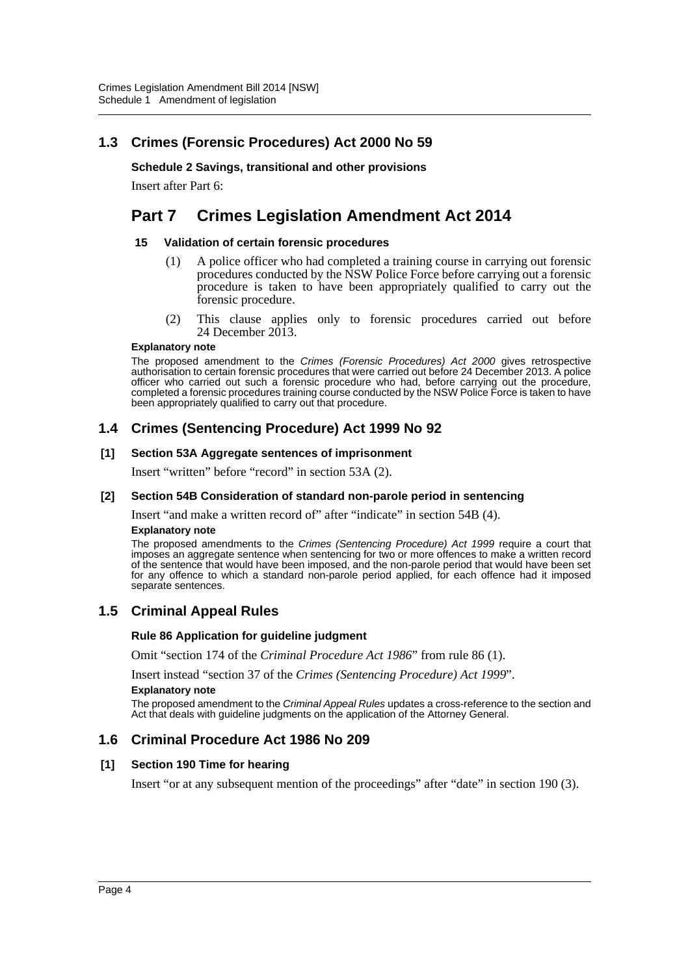## **1.3 Crimes (Forensic Procedures) Act 2000 No 59**

## **Schedule 2 Savings, transitional and other provisions**

Insert after Part 6:

## **Part 7 Crimes Legislation Amendment Act 2014**

## **15 Validation of certain forensic procedures**

- (1) A police officer who had completed a training course in carrying out forensic procedures conducted by the NSW Police Force before carrying out a forensic procedure is taken to have been appropriately qualified to carry out the forensic procedure.
- (2) This clause applies only to forensic procedures carried out before 24 December  $20\overline{1}3$ .

## **Explanatory note**

The proposed amendment to the *Crimes (Forensic Procedures) Act 2000* gives retrospective authorisation to certain forensic procedures that were carried out before 24 December 2013. A police officer who carried out such a forensic procedure who had, before carrying out the procedure, completed a forensic procedures training course conducted by the NSW Police Force is taken to have been appropriately qualified to carry out that procedure.

## **1.4 Crimes (Sentencing Procedure) Act 1999 No 92**

## **[1] Section 53A Aggregate sentences of imprisonment**

Insert "written" before "record" in section 53A (2).

## **[2] Section 54B Consideration of standard non-parole period in sentencing**

Insert "and make a written record of" after "indicate" in section 54B (4).

#### **Explanatory note**

The proposed amendments to the *Crimes (Sentencing Procedure) Act 1999* require a court that imposes an aggregate sentence when sentencing for two or more offences to make a written record of the sentence that would have been imposed, and the non-parole period that would have been set for any offence to which a standard non-parole period applied, for each offence had it imposed separate sentences.

## **1.5 Criminal Appeal Rules**

## **Rule 86 Application for guideline judgment**

Omit "section 174 of the *Criminal Procedure Act 1986*" from rule 86 (1).

Insert instead "section 37 of the *Crimes (Sentencing Procedure) Act 1999*".

#### **Explanatory note**

The proposed amendment to the *Criminal Appeal Rules* updates a cross-reference to the section and Act that deals with guideline judgments on the application of the Attorney General.

## **1.6 Criminal Procedure Act 1986 No 209**

## **[1] Section 190 Time for hearing**

Insert "or at any subsequent mention of the proceedings" after "date" in section 190 (3).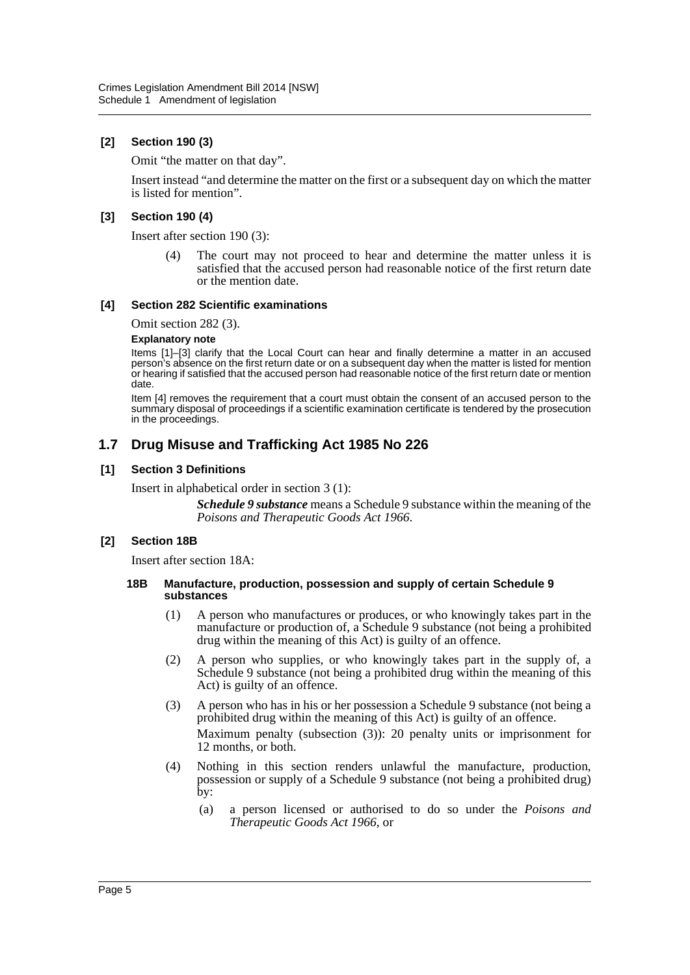## **[2] Section 190 (3)**

Omit "the matter on that day".

Insert instead "and determine the matter on the first or a subsequent day on which the matter is listed for mention".

## **[3] Section 190 (4)**

Insert after section 190 (3):

(4) The court may not proceed to hear and determine the matter unless it is satisfied that the accused person had reasonable notice of the first return date or the mention date.

## **[4] Section 282 Scientific examinations**

Omit section 282 (3).

#### **Explanatory note**

Items [1]–[3] clarify that the Local Court can hear and finally determine a matter in an accused person's absence on the first return date or on a subsequent day when the matter is listed for mention or hearing if satisfied that the accused person had reasonable notice of the first return date or mention date.

Item [4] removes the requirement that a court must obtain the consent of an accused person to the summary disposal of proceedings if a scientific examination certificate is tendered by the prosecution in the proceedings.

## **1.7 Drug Misuse and Trafficking Act 1985 No 226**

## **[1] Section 3 Definitions**

Insert in alphabetical order in section 3 (1):

*Schedule 9 substance* means a Schedule 9 substance within the meaning of the *Poisons and Therapeutic Goods Act 1966*.

## **[2] Section 18B**

Insert after section 18A:

#### **18B Manufacture, production, possession and supply of certain Schedule 9 substances**

- (1) A person who manufactures or produces, or who knowingly takes part in the manufacture or production of, a Schedule 9 substance (not being a prohibited drug within the meaning of this Act) is guilty of an offence.
- (2) A person who supplies, or who knowingly takes part in the supply of, a Schedule 9 substance (not being a prohibited drug within the meaning of this Act) is guilty of an offence.
- (3) A person who has in his or her possession a Schedule 9 substance (not being a prohibited drug within the meaning of this Act) is guilty of an offence. Maximum penalty (subsection (3)): 20 penalty units or imprisonment for 12 months, or both.
- (4) Nothing in this section renders unlawful the manufacture, production, possession or supply of a Schedule 9 substance (not being a prohibited drug) by:
	- (a) a person licensed or authorised to do so under the *Poisons and Therapeutic Goods Act 1966*, or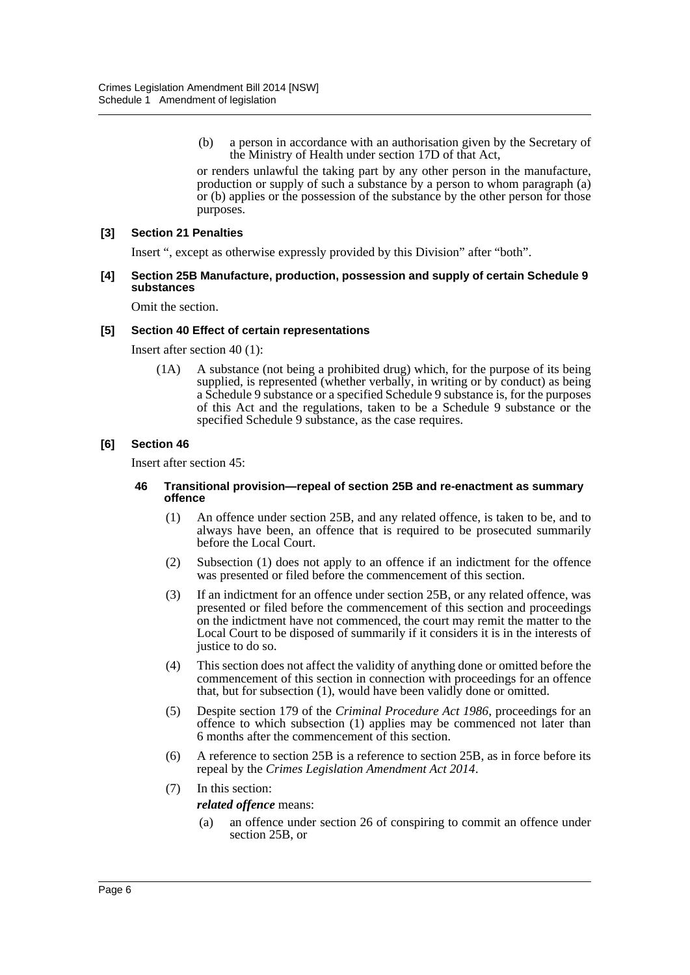(b) a person in accordance with an authorisation given by the Secretary of the Ministry of Health under section 17D of that Act,

or renders unlawful the taking part by any other person in the manufacture, production or supply of such a substance by a person to whom paragraph (a) or (b) applies or the possession of the substance by the other person for those purposes.

## **[3] Section 21 Penalties**

Insert ", except as otherwise expressly provided by this Division" after "both".

#### **[4] Section 25B Manufacture, production, possession and supply of certain Schedule 9 substances**

Omit the section.

## **[5] Section 40 Effect of certain representations**

Insert after section 40 (1):

(1A) A substance (not being a prohibited drug) which, for the purpose of its being supplied, is represented (whether verbally, in writing or by conduct) as being a Schedule 9 substance or a specified Schedule 9 substance is, for the purposes of this Act and the regulations, taken to be a Schedule 9 substance or the specified Schedule 9 substance, as the case requires.

## **[6] Section 46**

Insert after section 45:

#### **46 Transitional provision—repeal of section 25B and re-enactment as summary offence**

- (1) An offence under section 25B, and any related offence, is taken to be, and to always have been, an offence that is required to be prosecuted summarily before the Local Court.
- (2) Subsection (1) does not apply to an offence if an indictment for the offence was presented or filed before the commencement of this section.
- (3) If an indictment for an offence under section 25B, or any related offence, was presented or filed before the commencement of this section and proceedings on the indictment have not commenced, the court may remit the matter to the Local Court to be disposed of summarily if it considers it is in the interests of justice to do so.
- (4) This section does not affect the validity of anything done or omitted before the commencement of this section in connection with proceedings for an offence that, but for subsection  $(1)$ , would have been validly done or omitted.
- (5) Despite section 179 of the *Criminal Procedure Act 1986*, proceedings for an offence to which subsection (1) applies may be commenced not later than 6 months after the commencement of this section.
- (6) A reference to section 25B is a reference to section 25B, as in force before its repeal by the *Crimes Legislation Amendment Act 2014*.
- (7) In this section:

*related offence* means:

(a) an offence under section 26 of conspiring to commit an offence under section 25B, or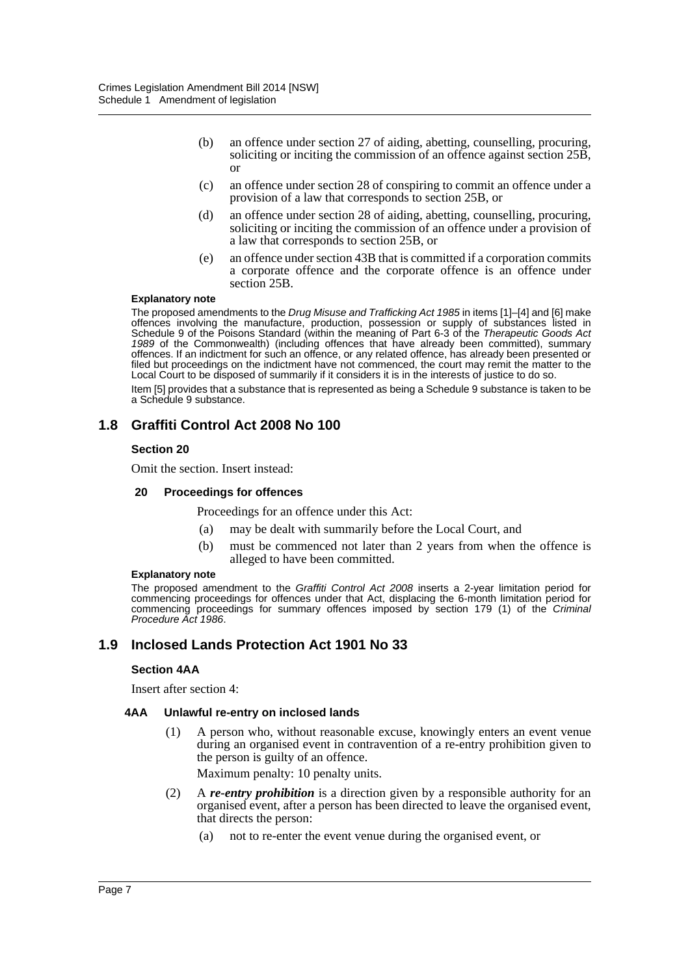- (b) an offence under section 27 of aiding, abetting, counselling, procuring, soliciting or inciting the commission of an offence against section 25B, or
- (c) an offence under section 28 of conspiring to commit an offence under a provision of a law that corresponds to section 25B, or
- (d) an offence under section 28 of aiding, abetting, counselling, procuring, soliciting or inciting the commission of an offence under a provision of a law that corresponds to section 25B, or
- (e) an offence under section 43B that is committed if a corporation commits a corporate offence and the corporate offence is an offence under section 25B.

#### **Explanatory note**

The proposed amendments to the *Drug Misuse and Trafficking Act 1985* in items [1]–[4] and [6] make offences involving the manufacture, production, possession or supply of substances listed in Schedule 9 of the Poisons Standard (within the meaning of Part 6-3 of the *Therapeutic Goods Act 1989* of the Commonwealth) (including offences that have already been committed), summary offences. If an indictment for such an offence, or any related offence, has already been presented or filed but proceedings on the indictment have not commenced, the court may remit the matter to the Local Court to be disposed of summarily if it considers it is in the interests of justice to do so.

Item [5] provides that a substance that is represented as being a Schedule 9 substance is taken to be a Schedule 9 substance.

## **1.8 Graffiti Control Act 2008 No 100**

## **Section 20**

Omit the section. Insert instead:

#### **20 Proceedings for offences**

Proceedings for an offence under this Act:

- (a) may be dealt with summarily before the Local Court, and
- (b) must be commenced not later than 2 years from when the offence is alleged to have been committed.

#### **Explanatory note**

The proposed amendment to the *Graffiti Control Act 2008* inserts a 2-year limitation period for commencing proceedings for offences under that Act, displacing the 6-month limitation period for commencing proceedings for summary offences imposed by section 179 (1) of the *Criminal Procedure Act 1986*.

## **1.9 Inclosed Lands Protection Act 1901 No 33**

#### **Section 4AA**

Insert after section 4:

#### **4AA Unlawful re-entry on inclosed lands**

(1) A person who, without reasonable excuse, knowingly enters an event venue during an organised event in contravention of a re-entry prohibition given to the person is guilty of an offence.

Maximum penalty: 10 penalty units.

- (2) A *re-entry prohibition* is a direction given by a responsible authority for an organised event, after a person has been directed to leave the organised event, that directs the person:
	- (a) not to re-enter the event venue during the organised event, or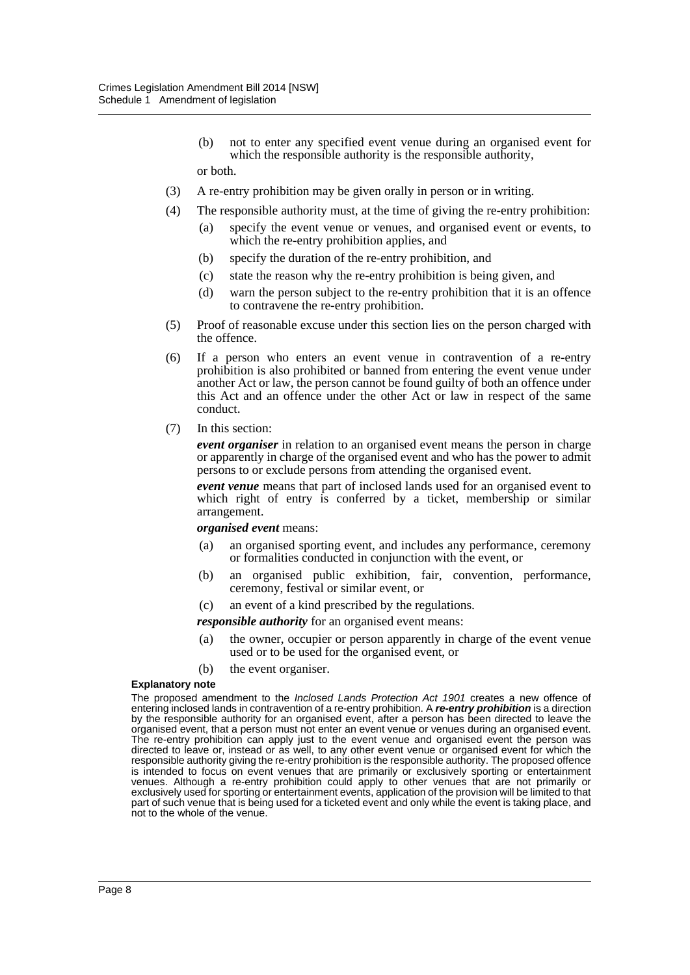- (b) not to enter any specified event venue during an organised event for which the responsible authority is the responsible authority, or both.
- (3) A re-entry prohibition may be given orally in person or in writing.
- (4) The responsible authority must, at the time of giving the re-entry prohibition:
	- (a) specify the event venue or venues, and organised event or events, to which the re-entry prohibition applies, and
	- (b) specify the duration of the re-entry prohibition, and
	- (c) state the reason why the re-entry prohibition is being given, and
	- (d) warn the person subject to the re-entry prohibition that it is an offence to contravene the re-entry prohibition.
- (5) Proof of reasonable excuse under this section lies on the person charged with the offence.
- (6) If a person who enters an event venue in contravention of a re-entry prohibition is also prohibited or banned from entering the event venue under another Act or law, the person cannot be found guilty of both an offence under this Act and an offence under the other Act or law in respect of the same conduct.
- (7) In this section:

*event organiser* in relation to an organised event means the person in charge or apparently in charge of the organised event and who has the power to admit persons to or exclude persons from attending the organised event.

*event venue* means that part of inclosed lands used for an organised event to which right of entry is conferred by a ticket, membership or similar arrangement.

#### *organised event* means:

- (a) an organised sporting event, and includes any performance, ceremony or formalities conducted in conjunction with the event, or
- (b) an organised public exhibition, fair, convention, performance, ceremony, festival or similar event, or
- (c) an event of a kind prescribed by the regulations.

*responsible authority* for an organised event means:

(a) the owner, occupier or person apparently in charge of the event venue used or to be used for the organised event, or

(b) the event organiser.

#### **Explanatory note**

The proposed amendment to the *Inclosed Lands Protection Act 1901* creates a new offence of entering inclosed lands in contravention of a re-entry prohibition. A *re-entry prohibition* is a direction by the responsible authority for an organised event, after a person has been directed to leave the organised event, that a person must not enter an event venue or venues during an organised event. The re-entry prohibition can apply just to the event venue and organised event the person was directed to leave or, instead or as well, to any other event venue or organised event for which the responsible authority giving the re-entry prohibition is the responsible authority. The proposed offence is intended to focus on event venues that are primarily or exclusively sporting or entertainment venues. Although a re-entry prohibition could apply to other venues that are not primarily or exclusively used for sporting or entertainment events, application of the provision will be limited to that part of such venue that is being used for a ticketed event and only while the event is taking place, and not to the whole of the venue.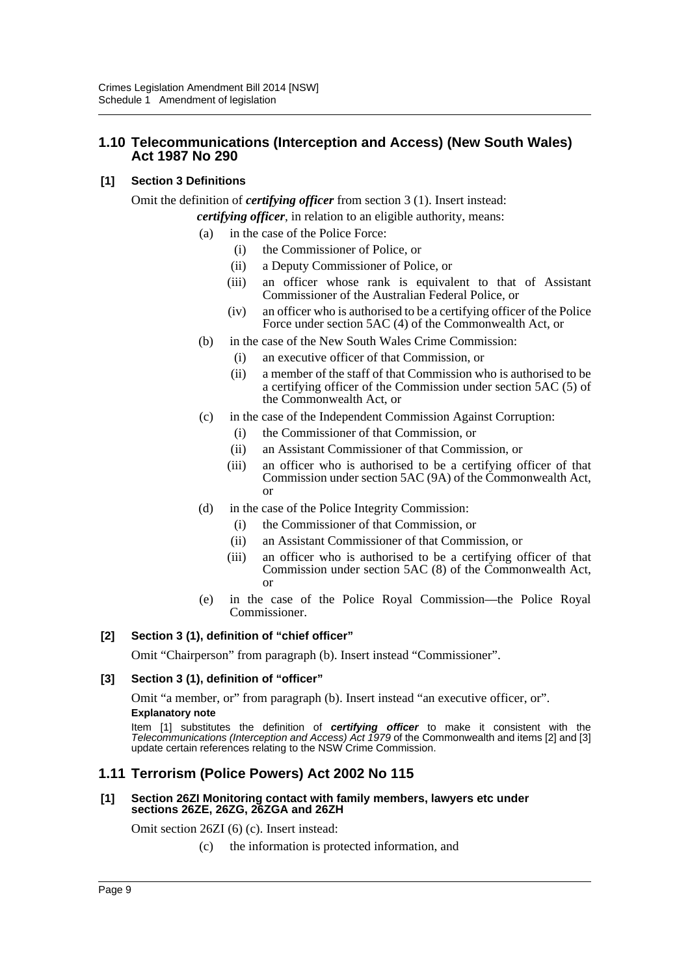## **1.10 Telecommunications (Interception and Access) (New South Wales) Act 1987 No 290**

## **[1] Section 3 Definitions**

Omit the definition of *certifying officer* from section 3 (1). Insert instead: *certifying officer*, in relation to an eligible authority, means:

- - (a) in the case of the Police Force:
		- (i) the Commissioner of Police, or
		- (ii) a Deputy Commissioner of Police, or
		- (iii) an officer whose rank is equivalent to that of Assistant Commissioner of the Australian Federal Police, or
		- (iv) an officer who is authorised to be a certifying officer of the Police Force under section 5AC (4) of the Commonwealth Act, or
	- (b) in the case of the New South Wales Crime Commission:
		- (i) an executive officer of that Commission, or
		- (ii) a member of the staff of that Commission who is authorised to be a certifying officer of the Commission under section 5AC (5) of the Commonwealth Act, or
	- (c) in the case of the Independent Commission Against Corruption:
		- (i) the Commissioner of that Commission, or
		- (ii) an Assistant Commissioner of that Commission, or
		- (iii) an officer who is authorised to be a certifying officer of that Commission under section 5AC (9A) of the Commonwealth Act, or
	- (d) in the case of the Police Integrity Commission:
		- (i) the Commissioner of that Commission, or
		- (ii) an Assistant Commissioner of that Commission, or
		- (iii) an officer who is authorised to be a certifying officer of that Commission under section 5AC (8) of the Commonwealth Act, or
	- (e) in the case of the Police Royal Commission—the Police Royal Commissioner.

## **[2] Section 3 (1), definition of "chief officer"**

Omit "Chairperson" from paragraph (b). Insert instead "Commissioner".

## **[3] Section 3 (1), definition of "officer"**

Omit "a member, or" from paragraph (b). Insert instead "an executive officer, or". **Explanatory note**

Item [1] substitutes the definition of *certifying officer* to make it consistent with the *Telecommunications (Interception and Access) Act 1979* of the Commonwealth and items [2] and [3] update certain references relating to the NSW Crime Commission.

## **1.11 Terrorism (Police Powers) Act 2002 No 115**

#### **[1] Section 26ZI Monitoring contact with family members, lawyers etc under sections 26ZE, 26ZG, 26ZGA and 26ZH**

Omit section 26ZI (6) (c). Insert instead:

(c) the information is protected information, and